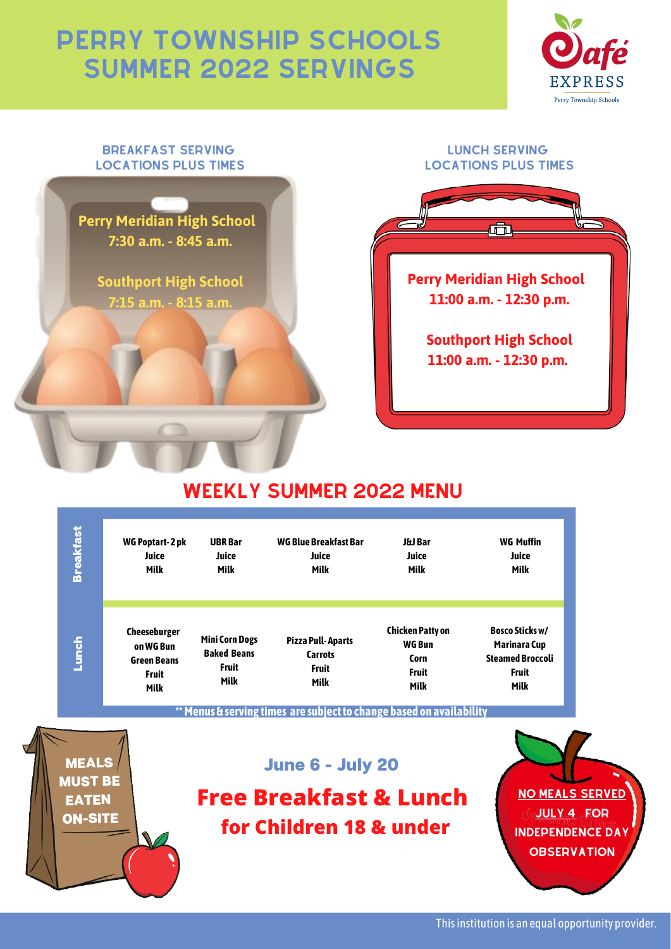**Perry Meridian High School 7:30 a.m. - 8:45 a.m.**

**Southport High School 7:15 a.m. - 8:15 a.m.**

# PERRY TOWNSHIP SCHOOLS SUMMER 2022 SERVINGS



### Breakfast Serving Locations plus Times

Weekly Summer 2022 Menu M T W TH F

| <b>Chicken Patty on</b><br><b>Bosco Sticks w/</b><br><b>Cheeseburger</b><br><b>Mini Corn Dogs</b><br>Lunch<br><b>Pizza Pull-Aparts</b><br><b>WG Bun</b><br><b>Marinara Cup</b><br>on WG Bun<br><b>Baked Beans</b><br><b>Carrots</b><br><b>Steamed Broccoli</b><br>Corn<br><b>Green Beans</b><br><b>Fruit</b><br><b>Fruit</b><br><b>Fruit</b><br><b>Fruit</b><br><b>Fruit</b><br><b>Milk</b><br><b>Milk</b><br><b>Milk</b><br><b>Milk</b><br><b>Milk</b><br>** Menus & serving times are subject to change based on availability | <b>MEAL:</b><br><b>June 6 - July 20</b><br><b>MUST BE</b><br><b>NO MEALS SERVED</b><br><b>Free Breakfast &amp; Lunch</b><br><b>EATEN</b> | <b>Breakfast</b> | WG Poptart-2 pk<br><b>Juice</b><br><b>Milk</b> | <b>UBR Bar</b><br><b>Juice</b><br><b>Milk</b> | <b>WG Blue Breakfast Bar</b><br><b>Juice</b><br><b>Milk</b> | <b>J&amp;J Bar</b><br><b>Juice</b><br><b>Milk</b> | <b>WG Muffin</b><br><b>Juice</b><br><b>Milk</b> |
|---------------------------------------------------------------------------------------------------------------------------------------------------------------------------------------------------------------------------------------------------------------------------------------------------------------------------------------------------------------------------------------------------------------------------------------------------------------------------------------------------------------------------------|------------------------------------------------------------------------------------------------------------------------------------------|------------------|------------------------------------------------|-----------------------------------------------|-------------------------------------------------------------|---------------------------------------------------|-------------------------------------------------|
|                                                                                                                                                                                                                                                                                                                                                                                                                                                                                                                                 |                                                                                                                                          |                  |                                                |                                               |                                                             |                                                   |                                                 |

This institution is an equal opportunity provider.



**11:00 a.m. - 12:30 p.m.**

**Southport High School 11:00 a.m. - 12:30 p.m.**

### Lunch Serving Locations plus Times